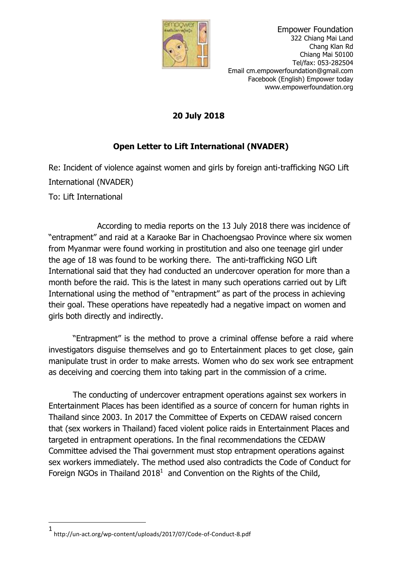

 **20 July 2018**

## **Open Letter to Lift International (NVADER)**

Re: Incident of violence against women and girls by foreign anti-trafficking NGO Lift International (NVADER) To: Lift International

According to media reports on the 13 July 2018 there was incidence of "entrapment" and raid at a Karaoke Bar in Chachoengsao Province where six women from Myanmar were found working in prostitution and also one teenage girl under the age of 18 was found to be working there. The anti-trafficking NGO Lift International said that they had conducted an undercover operation for more than a month before the raid. This is the latest in many such operations carried out by Lift International using the method of "entrapment" as part of the process in achieving their goal. These operations have repeatedly had a negative impact on women and girls both directly and indirectly.

"Entrapment" is the method to prove a criminal offense before a raid where investigators disguise themselves and go to Entertainment places to get close, gain manipulate trust in order to make arrests. Women who do sex work see entrapment as deceiving and coercing them into taking part in the commission of a crime.

The conducting of undercover entrapment operations against sex workers in Entertainment Places has been identified as a source of concern for human rights in Thailand since 2003. In 2017 the Committee of Experts on CEDAW raised concern that (sex workers in Thailand) faced violent police raids in Entertainment Places and targeted in entrapment operations. In the final recommendations the CEDAW Committee advised the Thai government must stop entrapment operations against sex workers immediately. The method used also contradicts the Code of Conduct for Foreign NGOs in Thailand 2018<sup>1</sup> and Convention on the Rights of the Child,

**.** 

<sup>1</sup> http://un-act.org/wp-content/uploads/2017/07/Code-of-Conduct-8.pdf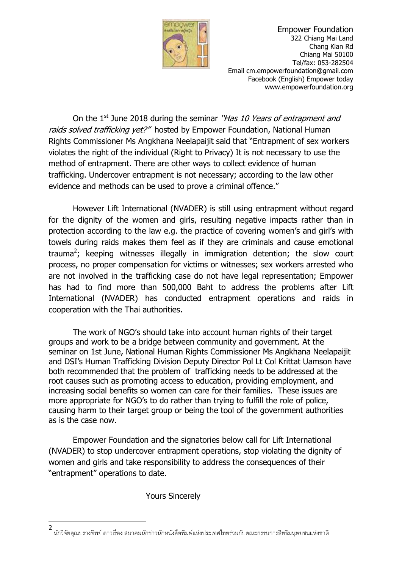

 Empower Foundation 322 Chiang Mai Land Chang Klan Rd Chiang Mai 50100 Tel/fax: 053-282504 Email cm.empowerfoundation@gmail.com Facebook (English) Empower today www.empowerfoundation.org

On the 1<sup>st</sup> June 2018 during the seminar "*Has 10 Years of entrapment and* raids solved trafficking yet?" hosted by Empower Foundation, National Human Rights Commissioner Ms Angkhana Neelapaijit said that "Entrapment of sex workers violates the right of the individual (Right to Privacy) It is not necessary to use the method of entrapment. There are other ways to collect evidence of human trafficking. Undercover entrapment is not necessary; according to the law other evidence and methods can be used to prove a criminal offence."

However Lift International (NVADER) is still using entrapment without regard for the dignity of the women and girls, resulting negative impacts rather than in protection according to the law e.g. the practice of covering women's and girl's with towels during raids makes them feel as if they are criminals and cause emotional trauma<sup>2</sup>; keeping witnesses illegally in immigration detention; the slow court process, no proper compensation for victims or witnesses; sex workers arrested who are not involved in the trafficking case do not have legal representation; Empower has had to find more than 500,000 Baht to address the problems after Lift International (NVADER) has conducted entrapment operations and raids in cooperation with the Thai authorities.

The work of NGO's should take into account human rights of their target groups and work to be a bridge between community and government. At the seminar on 1st June, National Human Rights Commissioner Ms Angkhana Neelapaijit and DSI's Human Trafficking Division Deputy Director Pol Lt Col Krittat Uamson have both recommended that the problem of trafficking needs to be addressed at the root causes such as promoting access to education, providing employment, and increasing social benefits so women can care for their families. These issues are more appropriate for NGO's to do rather than trying to fulfill the role of police, causing harm to their target group or being the tool of the government authorities as is the case now.

Empower Foundation and the signatories below call for Lift International (NVADER) to stop undercover entrapment operations, stop violating the dignity of women and girls and take responsibility to address the consequences of their "entrapment" operations to date.

Yours Sincerely

1

<sup>2</sup> นักวิจัยคุณปรางทิพย์ ดาวเรื่อง สมาคมนักข่าวนักหนังสือพิมพ์แห่งประเทศไทยร่วมกับคณะกรรมการสิทธิมนุษยชนแห่งชาติ